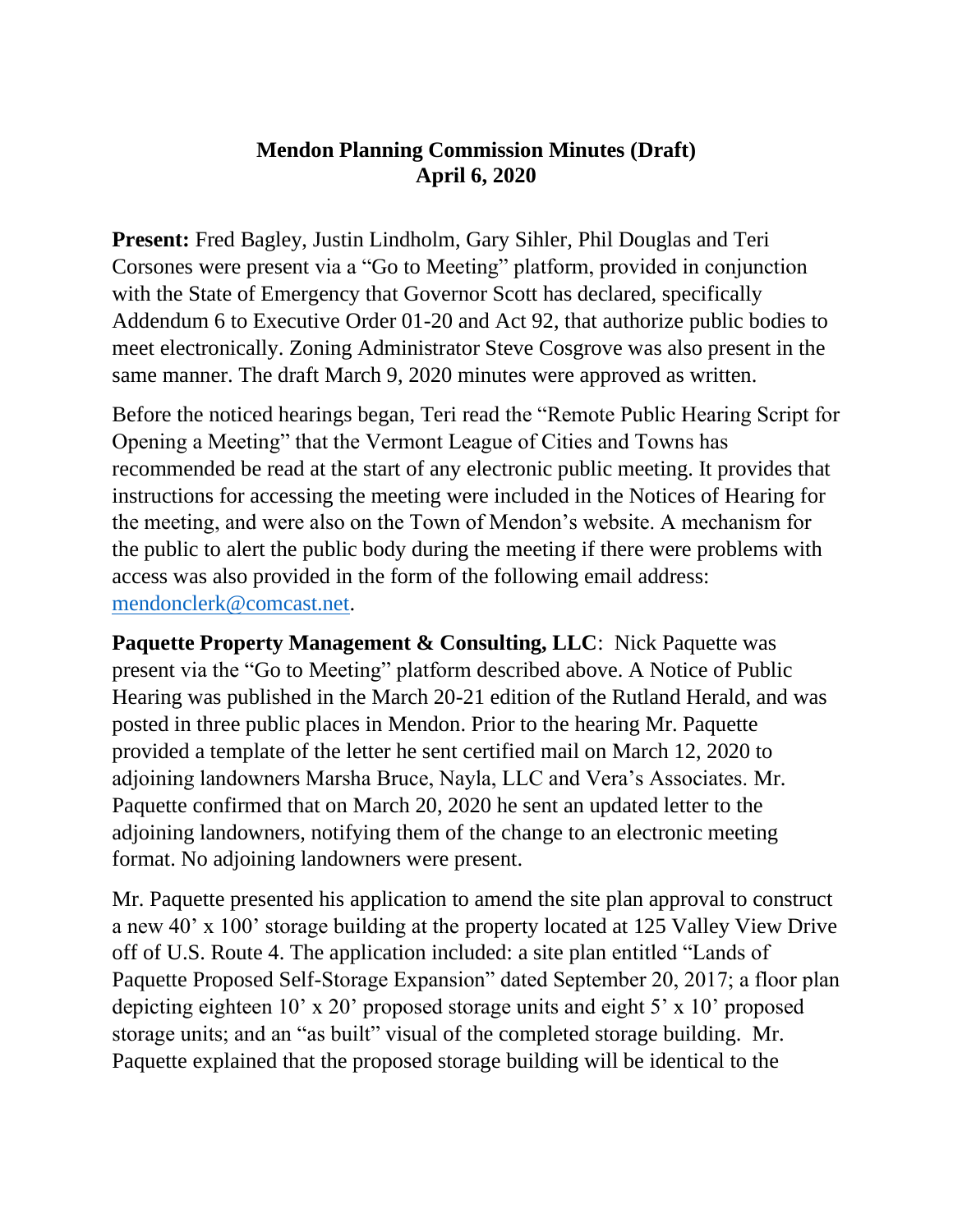## **Mendon Planning Commission Minutes (Draft) April 6, 2020**

**Present:** Fred Bagley, Justin Lindholm, Gary Sihler, Phil Douglas and Teri Corsones were present via a "Go to Meeting" platform, provided in conjunction with the State of Emergency that Governor Scott has declared, specifically Addendum 6 to Executive Order 01-20 and Act 92, that authorize public bodies to meet electronically. Zoning Administrator Steve Cosgrove was also present in the same manner. The draft March 9, 2020 minutes were approved as written.

Before the noticed hearings began, Teri read the "Remote Public Hearing Script for Opening a Meeting" that the Vermont League of Cities and Towns has recommended be read at the start of any electronic public meeting. It provides that instructions for accessing the meeting were included in the Notices of Hearing for the meeting, and were also on the Town of Mendon's website. A mechanism for the public to alert the public body during the meeting if there were problems with access was also provided in the form of the following email address: [mendonclerk@comcast.net.](mailto:mendonclerk@comcast.net)

**Paquette Property Management & Consulting, LLC: Nick Paquette was** present via the "Go to Meeting" platform described above. A Notice of Public Hearing was published in the March 20-21 edition of the Rutland Herald, and was posted in three public places in Mendon. Prior to the hearing Mr. Paquette provided a template of the letter he sent certified mail on March 12, 2020 to adjoining landowners Marsha Bruce, Nayla, LLC and Vera's Associates. Mr. Paquette confirmed that on March 20, 2020 he sent an updated letter to the adjoining landowners, notifying them of the change to an electronic meeting format. No adjoining landowners were present.

Mr. Paquette presented his application to amend the site plan approval to construct a new 40' x 100' storage building at the property located at 125 Valley View Drive off of U.S. Route 4. The application included: a site plan entitled "Lands of Paquette Proposed Self-Storage Expansion" dated September 20, 2017; a floor plan depicting eighteen 10' x 20' proposed storage units and eight 5' x 10' proposed storage units; and an "as built" visual of the completed storage building. Mr. Paquette explained that the proposed storage building will be identical to the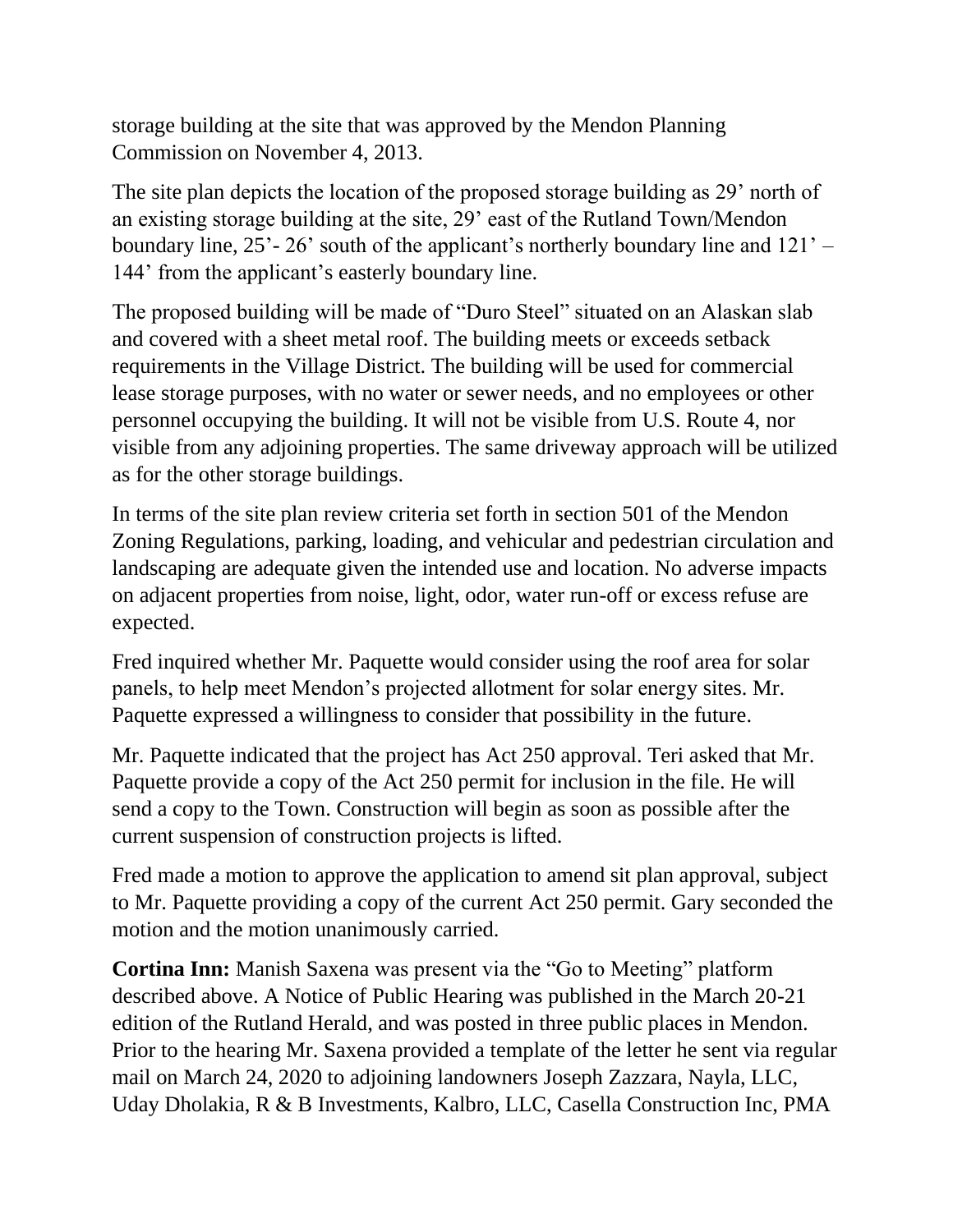storage building at the site that was approved by the Mendon Planning Commission on November 4, 2013.

The site plan depicts the location of the proposed storage building as 29' north of an existing storage building at the site, 29' east of the Rutland Town/Mendon boundary line, 25'- 26' south of the applicant's northerly boundary line and 121' – 144' from the applicant's easterly boundary line.

The proposed building will be made of "Duro Steel" situated on an Alaskan slab and covered with a sheet metal roof. The building meets or exceeds setback requirements in the Village District. The building will be used for commercial lease storage purposes, with no water or sewer needs, and no employees or other personnel occupying the building. It will not be visible from U.S. Route 4, nor visible from any adjoining properties. The same driveway approach will be utilized as for the other storage buildings.

In terms of the site plan review criteria set forth in section 501 of the Mendon Zoning Regulations, parking, loading, and vehicular and pedestrian circulation and landscaping are adequate given the intended use and location. No adverse impacts on adjacent properties from noise, light, odor, water run-off or excess refuse are expected.

Fred inquired whether Mr. Paquette would consider using the roof area for solar panels, to help meet Mendon's projected allotment for solar energy sites. Mr. Paquette expressed a willingness to consider that possibility in the future.

Mr. Paquette indicated that the project has Act 250 approval. Teri asked that Mr. Paquette provide a copy of the Act 250 permit for inclusion in the file. He will send a copy to the Town. Construction will begin as soon as possible after the current suspension of construction projects is lifted.

Fred made a motion to approve the application to amend sit plan approval, subject to Mr. Paquette providing a copy of the current Act 250 permit. Gary seconded the motion and the motion unanimously carried.

**Cortina Inn:** Manish Saxena was present via the "Go to Meeting" platform described above. A Notice of Public Hearing was published in the March 20-21 edition of the Rutland Herald, and was posted in three public places in Mendon. Prior to the hearing Mr. Saxena provided a template of the letter he sent via regular mail on March 24, 2020 to adjoining landowners Joseph Zazzara, Nayla, LLC, Uday Dholakia, R & B Investments, Kalbro, LLC, Casella Construction Inc, PMA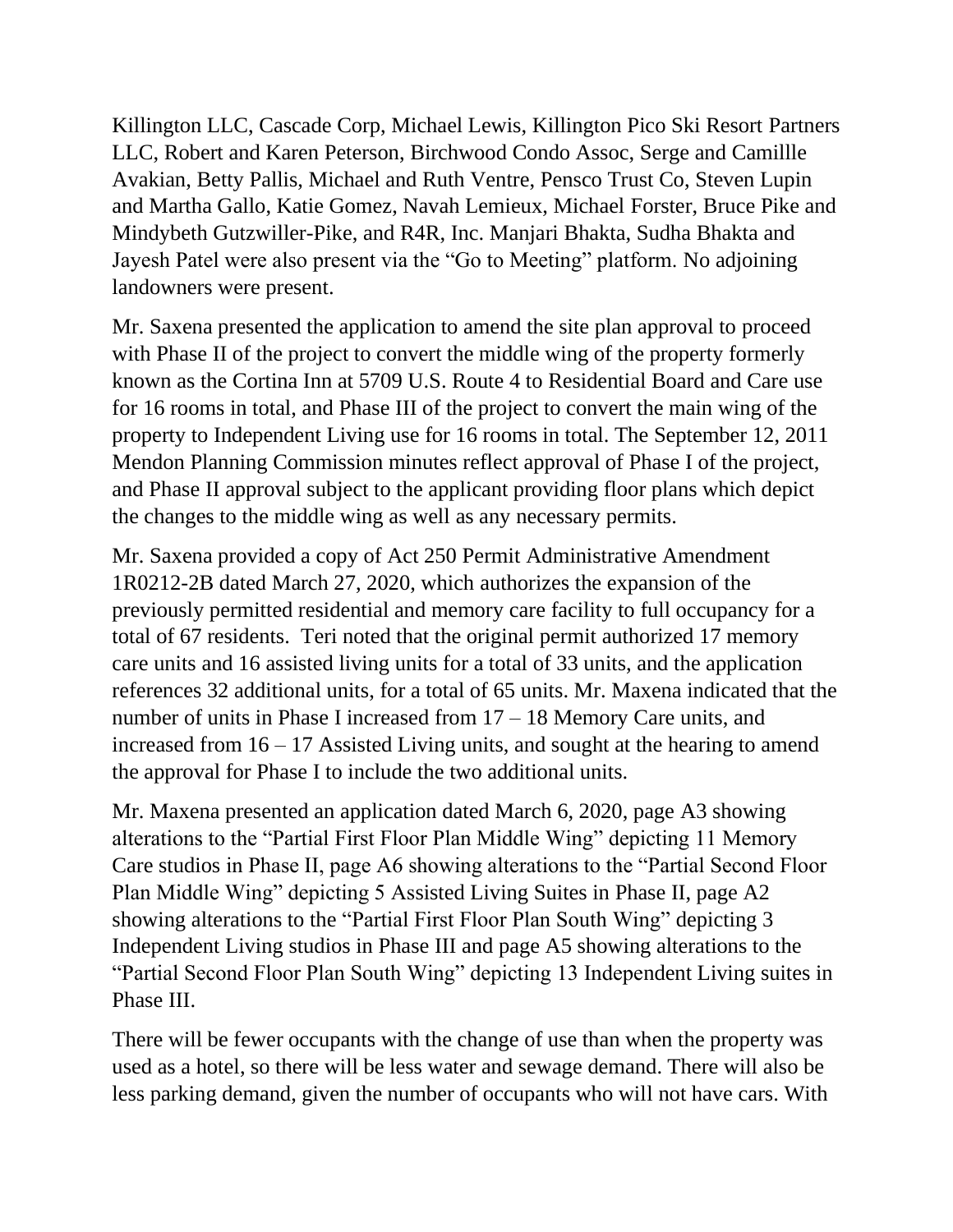Killington LLC, Cascade Corp, Michael Lewis, Killington Pico Ski Resort Partners LLC, Robert and Karen Peterson, Birchwood Condo Assoc, Serge and Camillle Avakian, Betty Pallis, Michael and Ruth Ventre, Pensco Trust Co, Steven Lupin and Martha Gallo, Katie Gomez, Navah Lemieux, Michael Forster, Bruce Pike and Mindybeth Gutzwiller-Pike, and R4R, Inc. Manjari Bhakta, Sudha Bhakta and Jayesh Patel were also present via the "Go to Meeting" platform. No adjoining landowners were present.

Mr. Saxena presented the application to amend the site plan approval to proceed with Phase II of the project to convert the middle wing of the property formerly known as the Cortina Inn at 5709 U.S. Route 4 to Residential Board and Care use for 16 rooms in total, and Phase III of the project to convert the main wing of the property to Independent Living use for 16 rooms in total. The September 12, 2011 Mendon Planning Commission minutes reflect approval of Phase I of the project, and Phase II approval subject to the applicant providing floor plans which depict the changes to the middle wing as well as any necessary permits.

Mr. Saxena provided a copy of Act 250 Permit Administrative Amendment 1R0212-2B dated March 27, 2020, which authorizes the expansion of the previously permitted residential and memory care facility to full occupancy for a total of 67 residents. Teri noted that the original permit authorized 17 memory care units and 16 assisted living units for a total of 33 units, and the application references 32 additional units, for a total of 65 units. Mr. Maxena indicated that the number of units in Phase I increased from 17 – 18 Memory Care units, and increased from  $16 - 17$  Assisted Living units, and sought at the hearing to amend the approval for Phase I to include the two additional units.

Mr. Maxena presented an application dated March 6, 2020, page A3 showing alterations to the "Partial First Floor Plan Middle Wing" depicting 11 Memory Care studios in Phase II, page A6 showing alterations to the "Partial Second Floor Plan Middle Wing" depicting 5 Assisted Living Suites in Phase II, page A2 showing alterations to the "Partial First Floor Plan South Wing" depicting 3 Independent Living studios in Phase III and page A5 showing alterations to the "Partial Second Floor Plan South Wing" depicting 13 Independent Living suites in Phase III.

There will be fewer occupants with the change of use than when the property was used as a hotel, so there will be less water and sewage demand. There will also be less parking demand, given the number of occupants who will not have cars. With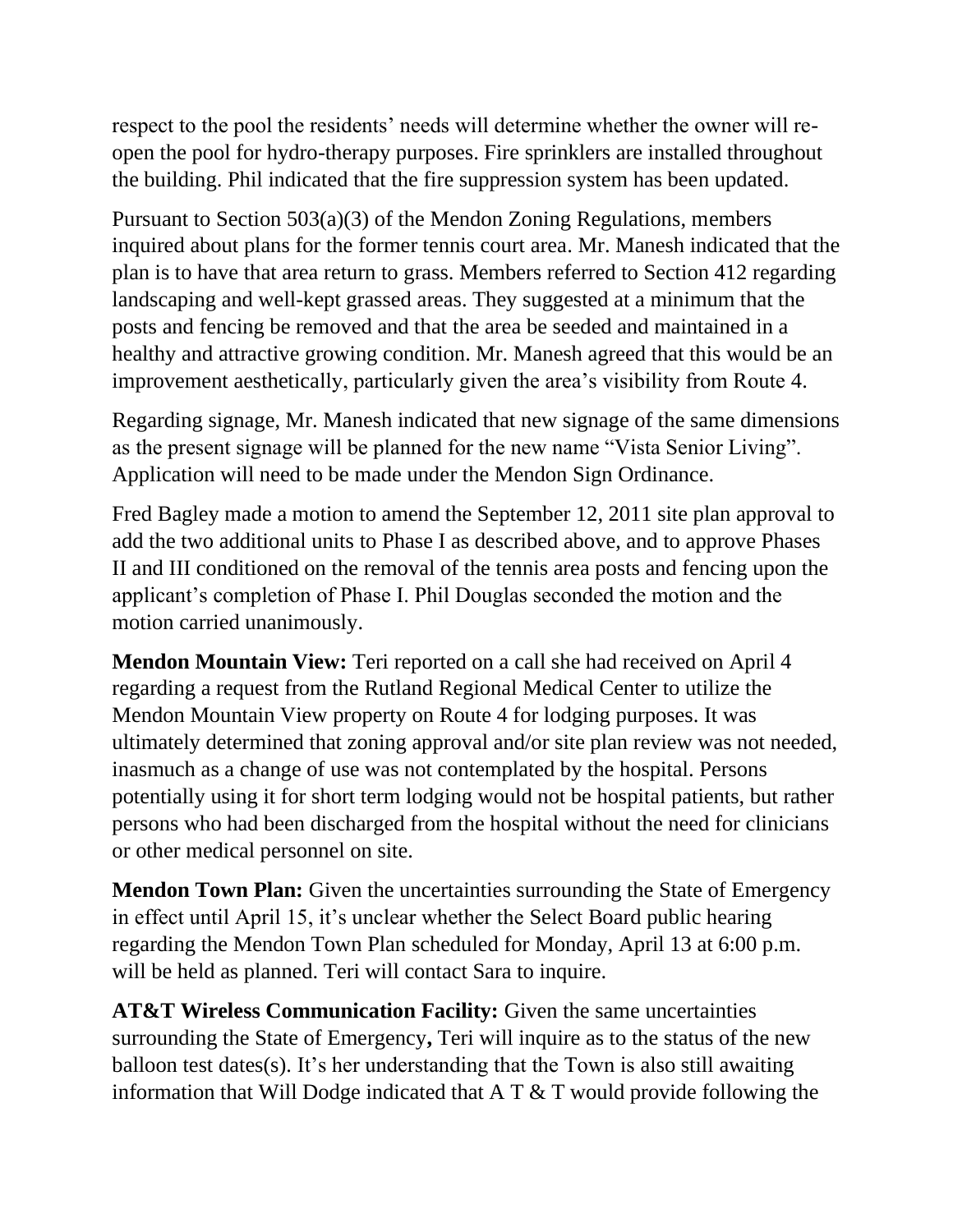respect to the pool the residents' needs will determine whether the owner will reopen the pool for hydro-therapy purposes. Fire sprinklers are installed throughout the building. Phil indicated that the fire suppression system has been updated.

Pursuant to Section 503(a)(3) of the Mendon Zoning Regulations, members inquired about plans for the former tennis court area. Mr. Manesh indicated that the plan is to have that area return to grass. Members referred to Section 412 regarding landscaping and well-kept grassed areas. They suggested at a minimum that the posts and fencing be removed and that the area be seeded and maintained in a healthy and attractive growing condition. Mr. Manesh agreed that this would be an improvement aesthetically, particularly given the area's visibility from Route 4.

Regarding signage, Mr. Manesh indicated that new signage of the same dimensions as the present signage will be planned for the new name "Vista Senior Living". Application will need to be made under the Mendon Sign Ordinance.

Fred Bagley made a motion to amend the September 12, 2011 site plan approval to add the two additional units to Phase I as described above, and to approve Phases II and III conditioned on the removal of the tennis area posts and fencing upon the applicant's completion of Phase I. Phil Douglas seconded the motion and the motion carried unanimously.

**Mendon Mountain View:** Teri reported on a call she had received on April 4 regarding a request from the Rutland Regional Medical Center to utilize the Mendon Mountain View property on Route 4 for lodging purposes. It was ultimately determined that zoning approval and/or site plan review was not needed, inasmuch as a change of use was not contemplated by the hospital. Persons potentially using it for short term lodging would not be hospital patients, but rather persons who had been discharged from the hospital without the need for clinicians or other medical personnel on site.

**Mendon Town Plan:** Given the uncertainties surrounding the State of Emergency in effect until April 15, it's unclear whether the Select Board public hearing regarding the Mendon Town Plan scheduled for Monday, April 13 at 6:00 p.m. will be held as planned. Teri will contact Sara to inquire.

**AT&T Wireless Communication Facility:** Given the same uncertainties surrounding the State of Emergency**,** Teri will inquire as to the status of the new balloon test dates(s). It's her understanding that the Town is also still awaiting information that Will Dodge indicated that  $A T \& T$  would provide following the